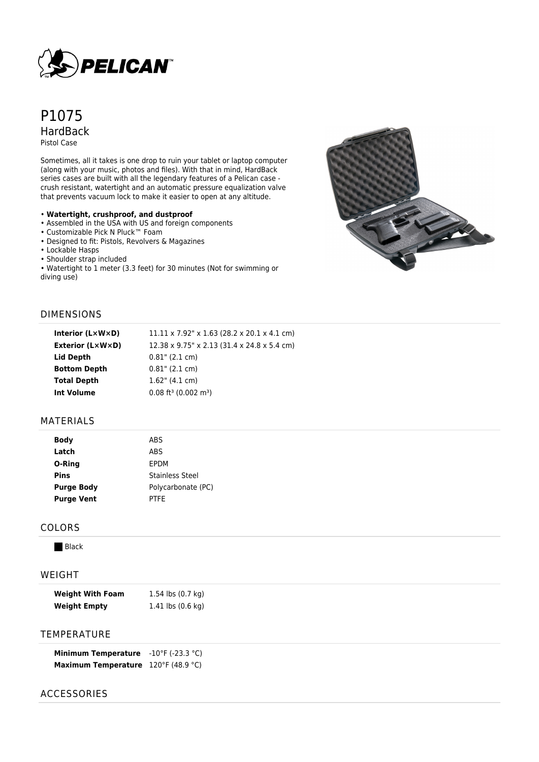

# P1075 HardBack Pistol Case

Sometimes, all it takes is one drop to ruin your tablet or laptop computer (along with your music, photos and files). With that in mind, HardBack series cases are built with all the legendary features of a Pelican case crush resistant, watertight and an automatic pressure equalization valve that prevents vacuum lock to make it easier to open at any altitude.

#### • **Watertight, crushproof, and dustproof**

- Assembled in the USA with US and foreign components
- Customizable Pick N Pluck™ Foam
- Designed to fit: Pistols, Revolvers & Magazines
- Lockable Hasps
- Shoulder strap included

• Watertight to 1 meter (3.3 feet) for 30 minutes (Not for swimming or diving use)



### DIMENSIONS

| Interior (L×W×D) | $11.11 \times 7.92$ " x 1.63 (28.2 x 20.1 x 4.1 cm) |
|------------------|-----------------------------------------------------|
| Exterior (L×W×D) | 12.38 x 9.75" x 2.13 (31.4 x 24.8 x 5.4 cm)         |
| Lid Depth        | $0.81$ " (2.1 cm)                                   |
| Bottom Depth     | $0.81$ " (2.1 cm)                                   |
| Total Depth      | $1.62$ " (4.1 cm)                                   |
| Int Volume       | $0.08$ ft <sup>3</sup> (0.002 m <sup>3</sup> )      |
|                  |                                                     |

### MATERIALS

| <b>Body</b>       | <b>ABS</b>             |  |
|-------------------|------------------------|--|
| Latch             | ABS                    |  |
| O-Ring            | <b>EPDM</b>            |  |
| <b>Pins</b>       | <b>Stainless Steel</b> |  |
| <b>Purge Body</b> | Polycarbonate (PC)     |  |
| <b>Purge Vent</b> | <b>PTFE</b>            |  |
|                   |                        |  |

# COLORS

**Black** 

#### WEIGHT

| <b>Weight With Foam</b> | 1.54 lbs (0.7 kg)                     |
|-------------------------|---------------------------------------|
| <b>Weight Empty</b>     | 1.41 $\mathsf{lbs}(0.6\ \mathsf{kq})$ |

# **TEMPERATURE**

| <b>Minimum Temperature</b> | $-10^{\circ}$ F (-23.3 °C) |
|----------------------------|----------------------------|
| <b>Maximum Temperature</b> | 120°F (48.9 °C)            |

### ACCESSORIES